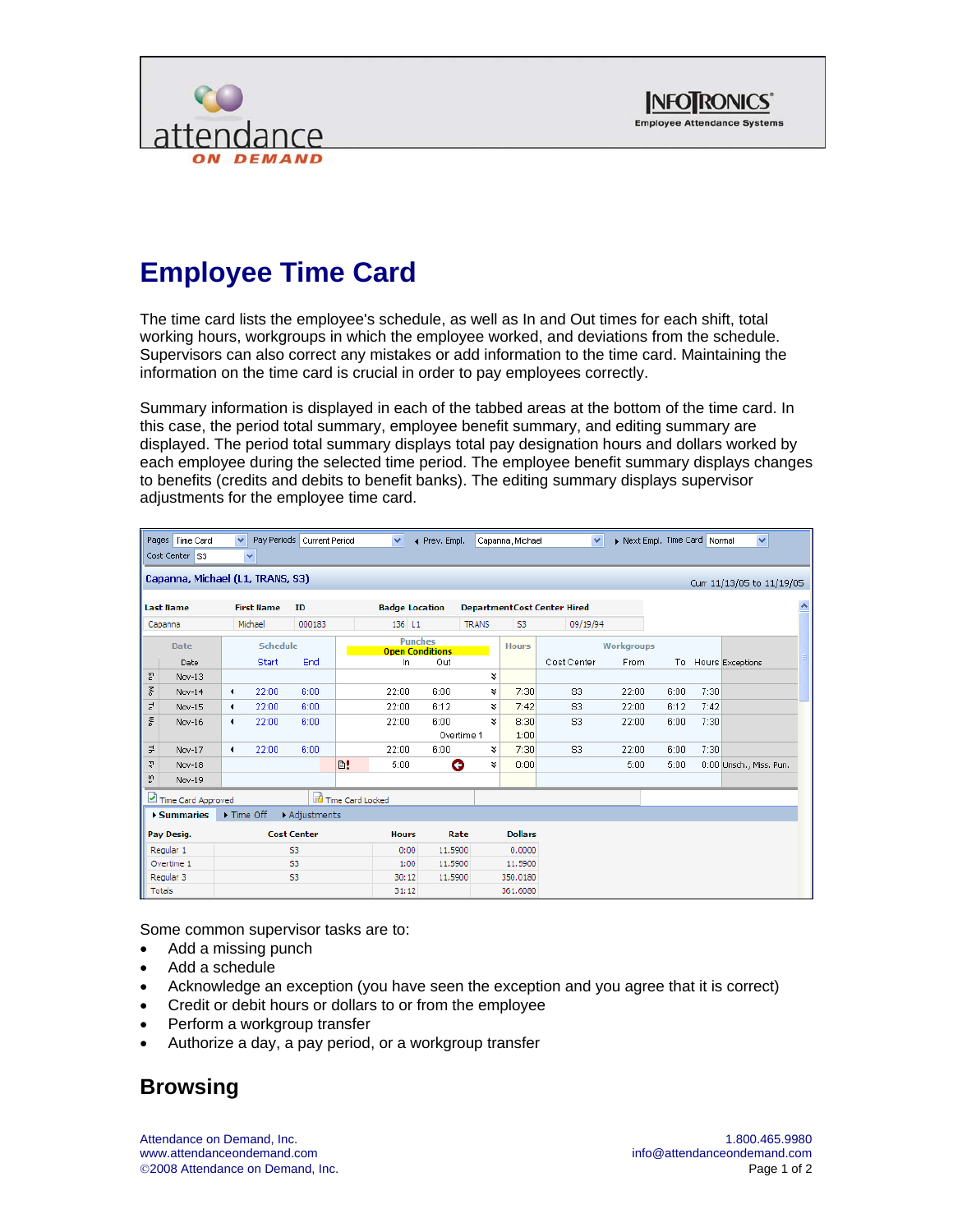



## **Employee Time Card**

The time card lists the employee's schedule, as well as In and Out times for each shift, total working hours, workgroups in which the employee worked, and deviations from the schedule. Supervisors can also correct any mistakes or add information to the time card. Maintaining the information on the time card is crucial in order to pay employees correctly.

Summary information is displayed in each of the tabbed areas at the bottom of the time card. In this case, the period total summary, employee benefit summary, and editing summary are displayed. The period total summary displays total pay designation hours and dollars worked by each employee during the selected time period. The employee benefit summary displays changes to benefits (credits and debits to benefit banks). The editing summary displays supervisor adjustments for the employee time card.

| Pages   Time Card<br>Pay Periods Current Period<br>$\checkmark$<br>$\checkmark$<br>Next Empl. Time Card Normal<br>$\checkmark$<br>◀ Prev. Empl.<br>Capanna, Michael<br>Cost Center S3<br>$\checkmark$ |                    |                      |                    |        |    |                                          |                    |              |                |                                     | $\checkmark$ |      |      |                           |  |
|-------------------------------------------------------------------------------------------------------------------------------------------------------------------------------------------------------|--------------------|----------------------|--------------------|--------|----|------------------------------------------|--------------------|--------------|----------------|-------------------------------------|--------------|------|------|---------------------------|--|
| Capanna, Michael (L1, TRANS, S3)                                                                                                                                                                      |                    |                      |                    |        |    |                                          |                    |              |                |                                     |              |      |      | Curr 11/13/05 to 11/19/05 |  |
|                                                                                                                                                                                                       | <b>Last Name</b>   |                      | <b>First Name</b>  | ID     |    | <b>Badge Location</b>                    |                    |              |                | <b>Department Cost Center Hired</b> |              |      |      |                           |  |
|                                                                                                                                                                                                       | Capanna            |                      | Michael            | 000183 |    | 136 L1                                   |                    | <b>TRANS</b> | S3             | 09/19/94                            |              |      |      |                           |  |
| <b>Date</b>                                                                                                                                                                                           |                    | <b>Schedule</b>      |                    |        |    | <b>Punches</b><br><b>Open Conditions</b> |                    |              | <b>Hours</b>   |                                     | Workgroups   |      |      |                           |  |
|                                                                                                                                                                                                       | Date               |                      | <b>Start</b>       | End    |    | In                                       | Out                |              |                | Cost Center                         | From         |      |      | To Hours Exceptions       |  |
| 쏟                                                                                                                                                                                                     | Nov-13             |                      |                    |        |    |                                          |                    | ×.           |                |                                     |              |      |      |                           |  |
| 종                                                                                                                                                                                                     | Nov-14             | $\blacktriangleleft$ | 22:00              | 6:00   |    | 22:00                                    | 6:00               | ×.           | 7:30           | <b>S3</b>                           | 22:00        | 6:00 | 7:30 |                           |  |
| $\vec{c}$                                                                                                                                                                                             | Nov-15             | $\blacktriangleleft$ | 22:00              | 6:00   |    | 22:00                                    | 6:12               | ×            | 7:42           | S3                                  | 22:00        | 6:12 | 7:42 |                           |  |
| ≫                                                                                                                                                                                                     | Nov-16             | $\blacktriangleleft$ | 22:00              | 6:00   |    | 22:00                                    | 6:00<br>Overtime 1 | ×.           | 8:30<br>1:00   | S3                                  | 22:00        | 6:00 | 7:30 |                           |  |
| $\exists$                                                                                                                                                                                             | Nov-17             | $\blacktriangleleft$ | 22:00              | 6:00   |    | 22:00                                    | 6:00               | ¥            | 7:30           | S <sub>3</sub>                      | 22:00        | 6:00 | 7:30 |                           |  |
| 굋                                                                                                                                                                                                     | Nov-18             |                      |                    |        | B! | 5:00                                     | G                  | ×            | 0:00           |                                     | 5:00         | 5:00 |      | 0:00 Unsch., Miss. Pun.   |  |
| 없                                                                                                                                                                                                     | Nov-19             |                      |                    |        |    |                                          |                    |              |                |                                     |              |      |      |                           |  |
|                                                                                                                                                                                                       | Time Card Approved | Time Card Locked     |                    |        |    |                                          |                    |              |                |                                     |              |      |      |                           |  |
| ▶ Time Off<br>▶ Summaries<br>Adjustments                                                                                                                                                              |                    |                      |                    |        |    |                                          |                    |              |                |                                     |              |      |      |                           |  |
| Pay Desig.                                                                                                                                                                                            |                    |                      | <b>Cost Center</b> |        |    | <b>Hours</b>                             | Rate               |              | <b>Dollars</b> |                                     |              |      |      |                           |  |
| Regular 1                                                                                                                                                                                             |                    | S3                   |                    |        |    | 0:00                                     | 11.5900            |              | 0.0000         |                                     |              |      |      |                           |  |
| Overtime 1                                                                                                                                                                                            |                    | S <sub>3</sub>       |                    |        |    | 1:00                                     | 11.5900            |              | 11.5900        |                                     |              |      |      |                           |  |
| Regular 3                                                                                                                                                                                             |                    |                      | S3                 |        |    | 30:12                                    | 11.5900            |              | 350.0180       |                                     |              |      |      |                           |  |
| Totals                                                                                                                                                                                                |                    |                      |                    |        |    | 31:12                                    |                    |              | 361.6080       |                                     |              |      |      |                           |  |

Some common supervisor tasks are to:

- Add a missing punch
- Add a schedule
- Acknowledge an exception (you have seen the exception and you agree that it is correct)
- Credit or debit hours or dollars to or from the employee
- Perform a workgroup transfer
- Authorize a day, a pay period, or a workgroup transfer

## **Browsing**

Attendance on Demand, Inc. 1.800.465.9980 ©2008 Attendance on Demand, Inc. Page 1 of 2